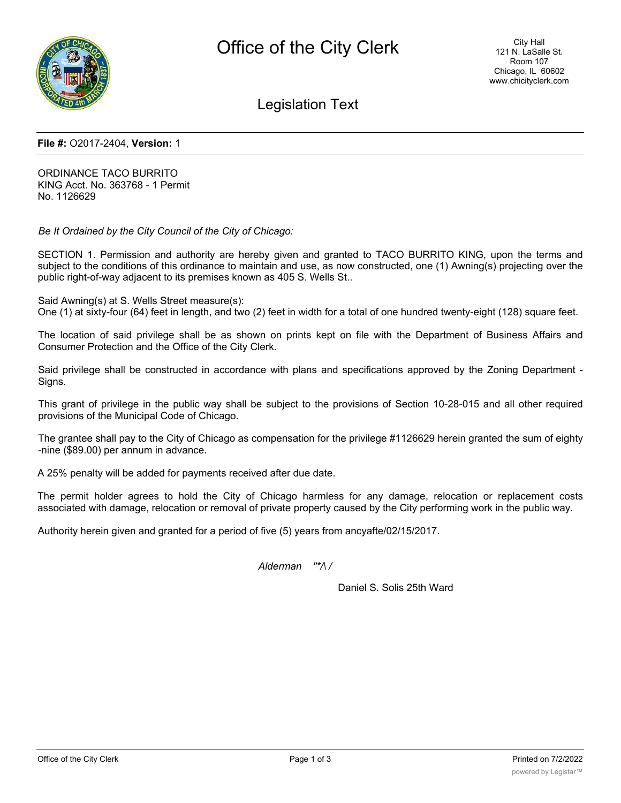

Legislation Text

### **File #:** O2017-2404, **Version:** 1

ORDINANCE TACO BURRITO KING Acct. No. 363768 - 1 Permit No. 1126629

*Be It Ordained by the City Council of the City of Chicago:*

SECTION 1. Permission and authority are hereby given and granted to TACO BURRITO KING, upon the terms and subject to the conditions of this ordinance to maintain and use, as now constructed, one (1) Awning(s) projecting over the public right-of-way adjacent to its premises known as 405 S. Wells St..

Said Awning(s) at S. Wells Street measure(s):

One (1) at sixty-four (64) feet in length, and two (2) feet in width for a total of one hundred twenty-eight (128) square feet.

The location of said privilege shall be as shown on prints kept on file with the Department of Business Affairs and Consumer Protection and the Office of the City Clerk.

Said privilege shall be constructed in accordance with plans and specifications approved by the Zoning Department - Signs.

This grant of privilege in the public way shall be subject to the provisions of Section 10-28-015 and all other required provisions of the Municipal Code of Chicago.

The grantee shall pay to the City of Chicago as compensation for the privilege #1126629 herein granted the sum of eighty -nine (\$89.00) per annum in advance.

A 25% penalty will be added for payments received after due date.

The permit holder agrees to hold the City of Chicago harmless for any damage, relocation or replacement costs associated with damage, relocation or removal of private property caused by the City performing work in the public way.

Authority herein given and granted for a period of five (5) years from ancyafte/02/15/2017.

*Alderman "\*/\ /*

Daniel S. Solis 25th Ward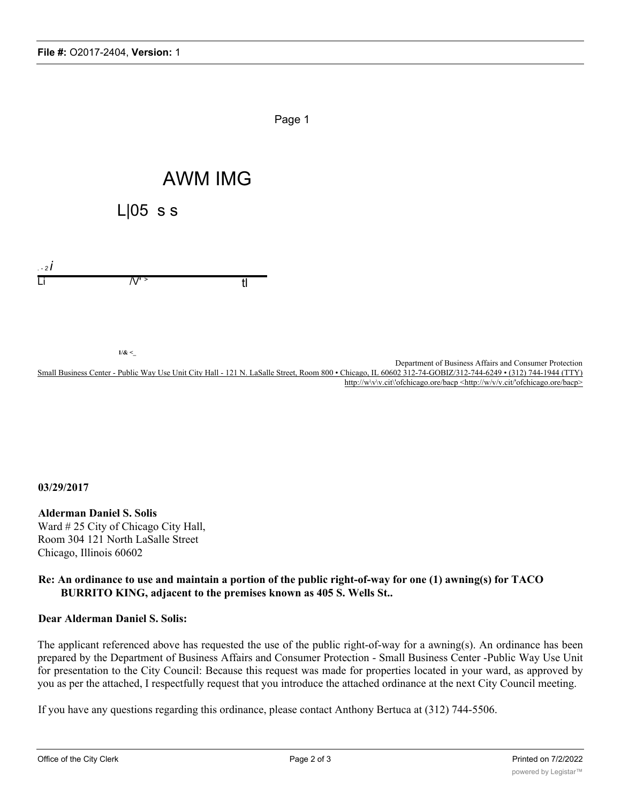

# **03/29/2017**

## **Alderman Daniel S. Solis**

Ward # 25 City of Chicago City Hall, Room 304 121 North LaSalle Street Chicago, Illinois 60602

# **Re: An ordinance to use and maintain a portion of the public right-of-way for one (1) awning(s) for TACO BURRITO KING, adjacent to the premises known as 405 S. Wells St..**

# **Dear Alderman Daniel S. Solis:**

The applicant referenced above has requested the use of the public right-of-way for a awning(s). An ordinance has been prepared by the Department of Business Affairs and Consumer Protection - Small Business Center -Public Way Use Unit for presentation to the City Council: Because this request was made for properties located in your ward, as approved by you as per the attached, I respectfully request that you introduce the attached ordinance at the next City Council meeting.

If you have any questions regarding this ordinance, please contact Anthony Bertuca at (312) 744-5506.